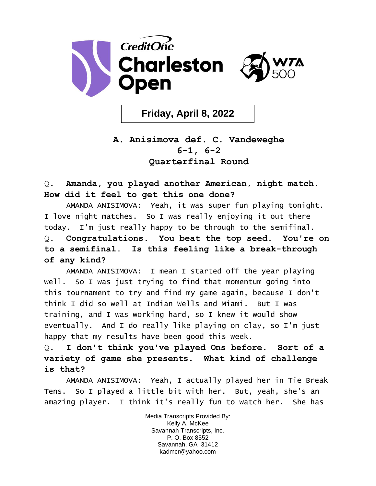

**Friday, April 8, 2022**

## **A. Anisimova def. C. Vandeweghe 6-1, 6-2 Quarterfinal Round**

Q. **Amanda, you played another American, night match. How did it feel to get this one done?**

AMANDA ANISIMOVA: Yeah, it was super fun playing tonight. I love night matches. So I was really enjoying it out there today. I'm just really happy to be through to the semifinal. Q. **Congratulations. You beat the top seed. You're on to a semifinal. Is this feeling like a break-through of any kind?** 

AMANDA ANISIMOVA: I mean I started off the year playing well. So I was just trying to find that momentum going into this tournament to try and find my game again, because I don't think I did so well at Indian Wells and Miami. But I was training, and I was working hard, so I knew it would show eventually. And I do really like playing on clay, so I'm just happy that my results have been good this week.

Q. **I don't think you've played Ons before. Sort of a variety of game she presents. What kind of challenge is that?** 

AMANDA ANISIMOVA: Yeah, I actually played her in Tie Break Tens. So I played a little bit with her. But, yeah, she's an amazing player. I think it's really fun to watch her. She has

> Media Transcripts Provided By: Kelly A. McKee Savannah Transcripts, Inc. P. O. Box 8552 Savannah, GA 31412 kadmcr@yahoo.com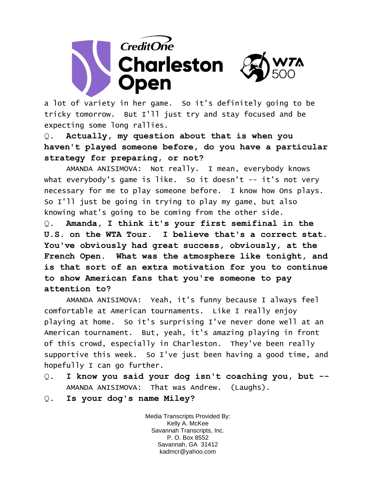

a lot of variety in her game. So it's definitely going to be tricky tomorrow. But I'll just try and stay focused and be expecting some long rallies.

Q. **Actually, my question about that is when you haven't played someone before, do you have a particular strategy for preparing, or not?** 

AMANDA ANISIMOVA: Not really. I mean, everybody knows what everybody's game is like. So it doesn't -- it's not very necessary for me to play someone before. I know how Ons plays. So I'll just be going in trying to play my game, but also knowing what's going to be coming from the other side.

Q. **Amanda, I think it's your first semifinal in the U.S. on the WTA Tour. I believe that's a correct stat. You've obviously had great success, obviously, at the French Open. What was the atmosphere like tonight, and is that sort of an extra motivation for you to continue to show American fans that you're someone to pay attention to?** 

AMANDA ANISIMOVA: Yeah, it's funny because I always feel comfortable at American tournaments. Like I really enjoy playing at home. So it's surprising I've never done well at an American tournament. But, yeah, it's amazing playing in front of this crowd, especially in Charleston. They've been really supportive this week. So I've just been having a good time, and hopefully I can go further.

- Q. **I know you said your dog isn't coaching you, but --** AMANDA ANISIMOVA: That was Andrew. (Laughs).
- Q. **Is your dog's name Miley?**

Media Transcripts Provided By: Kelly A. McKee Savannah Transcripts, Inc. P. O. Box 8552 Savannah, GA 31412 kadmcr@yahoo.com